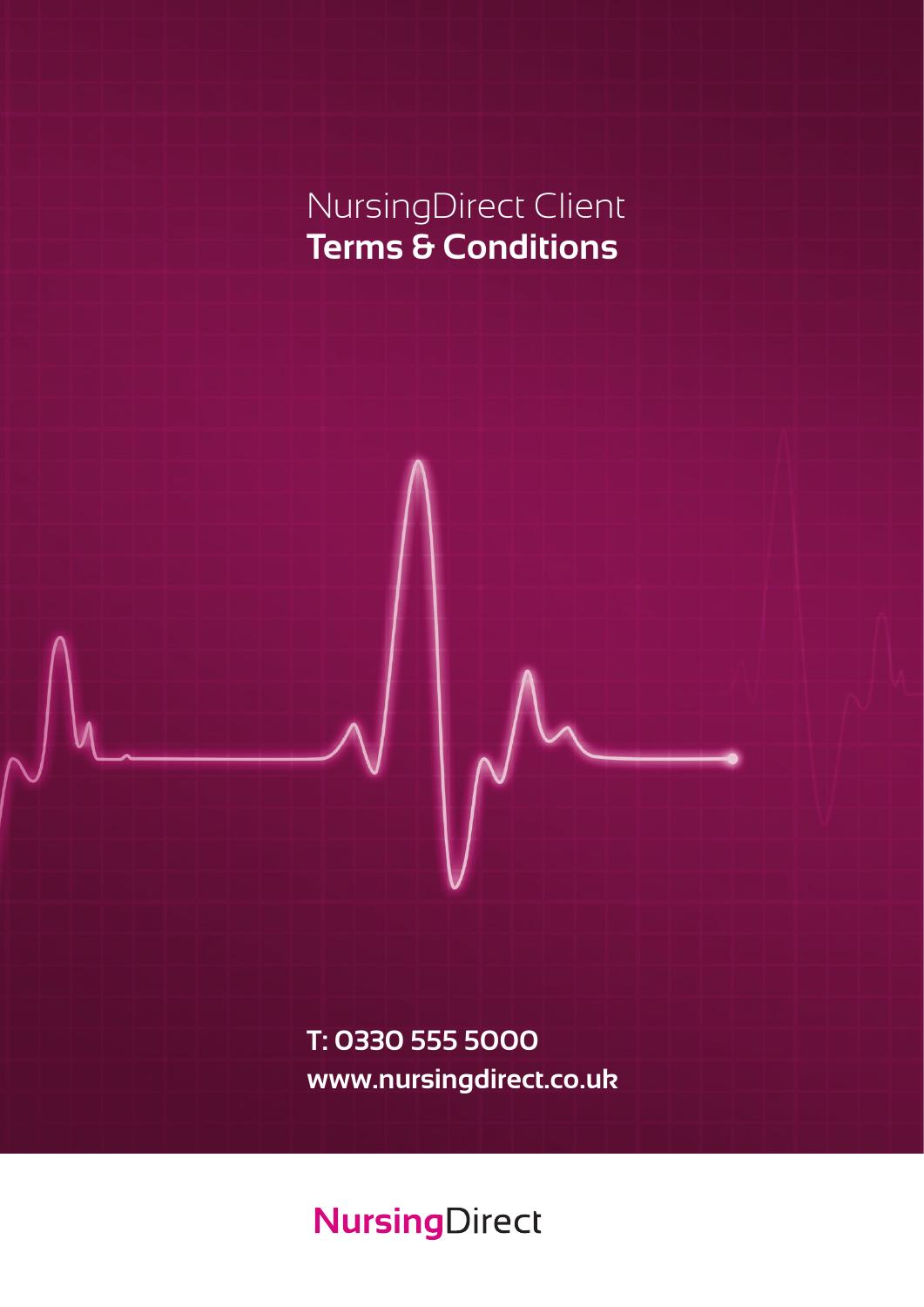# NursingDirect Client **Terms & Conditions**

**T: 0330 555 5000 www.nursingdirect.co.uk**

# **NursingDirect**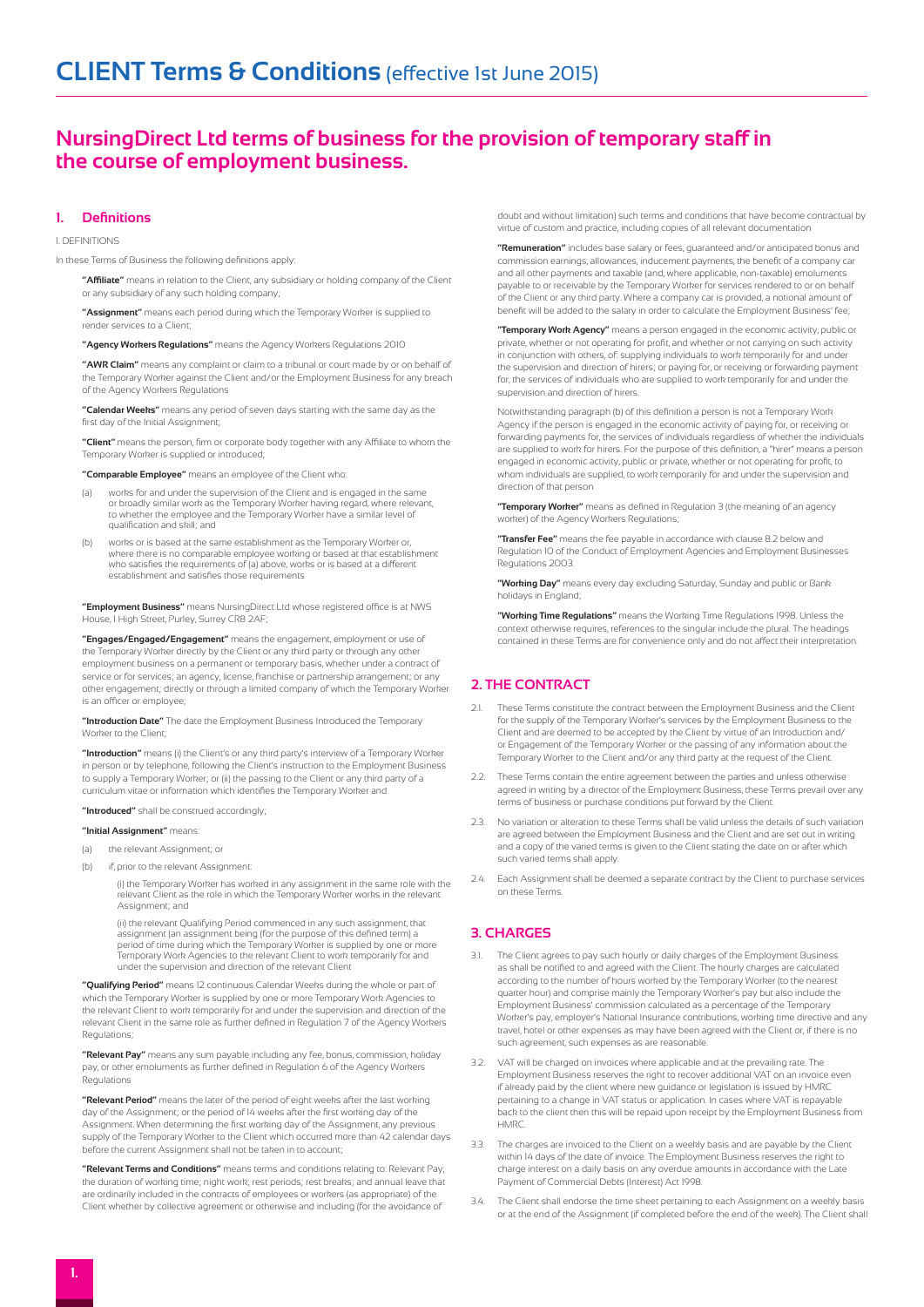# **NursingDirect Ltd terms of business for the provision of temporary staff in the course of employment business.**

# **1. Definitions**

#### 1. DEFINITIONS

In these Terms of Business the following definitions apply:

**"Affiliate"** means in relation to the Client, any subsidiary or holding company of the Client or any subsidiary of any such holding company;

**"Assignment"** means each period during which the Temporary Worker is supplied to render services to a Client;

**"Agency Workers Regulations"** means the Agency Workers Regulations 2010

**"AWR Claim"** means any complaint or claim to a tribunal or court made by or on behalf of the Temporary Worker against the Client and/or the Employment Business for any breach of the Agency Workers Regulations

**"Calendar Weeks"** means any period of seven days starting with the same day as the first day of the Initial Assignment;

**"Client"** means the person, firm or corporate body together with any Affiliate to whom the Temporary Worker is supplied or introduced;

 **"Comparable Employee"** means an employee of the Client who:

- (a) works for and under the supervision of the Client and is engaged in the same or broadly similar work as the Temporary Worker having regard, where relevant, to whether the employee and the Temporary Worker have a similar level of qualification and skill; and
- (b) works or is based at the same establishment as the Temporary Worker or where there is no comparable employee working or based at that establishment who satisfies the requirements of (a) above, works or is based at a different establishment and satisfies those requirements

**"Employment Business"** means NursingDirect Ltd whose registered office is at NWS House, 1 High Street, Purley, Surrey CR8 2AF;

**"Engages/Engaged/Engagement"** means the engagement, employment or use of the Temporary Worker directly by the Client or any third party or through any other employment business on a permanent or temporary basis, whether under a contract of service or for services; an agency, license, franchise or partnership arrangement; or any other engagement; directly or through a limited company of which the Temporary Worker is an officer or employee;

**"Introduction Date"** The date the Employment Business Introduced the Temporary Worker to the Client;

**"Introduction"** means (i) the Client's or any third party's interview of a Temporary Worker in person or by telephone, following the Client's instruction to the Employment Business to supply a Temporary Worker; or (ii) the passing to the Client or any third party of a curriculum vitae or information which identifies the Temporary Worker and

#### **"Introduced"** shall be construed accordingly;

#### **"Initial Assignment"** means:

- (a) the relevant Assignment; or
- (b) if, prior to the relevant Assignment:

(i) the Temporary Worker has worked in any assignment in the same role with the relevant Client as the role in which the Temporary Worker works in the relevant Assignment; and

(ii) the relevant Qualifying Period commenced in any such assignment, that assignment (an assignment being (for the purpose of this defined term) a period of time during which the Temporary Worker is supplied by one or more Temporary Work Agencies to the relevant Client to work temporarily for and under the supervision and direction of the relevant Client

 **"Qualifying Period"** means 12 continuous Calendar Weeks during the whole or part of which the Temporary Worker is supplied by one or more Temporary Work Agencies to the relevant Client to work temporarily for and under the supervision and direction of the relevant Client in the same role as further defined in Regulation 7 of the Agency Workers Regulations;

 **"Relevant Pay"** means any sum payable including any fee, bonus, commission, holiday pay, or other emoluments as further defined in Regulation 6 of the Agency Workers Regulations

 **"Relevant Period"** means the later of the period of eight weeks after the last working day of the Assignment; or the period of 14 weeks after the first working day of the Assignment. When determining the first working day of the Assignment, any previous supply of the Temporary Worker to the Client which occurred more than 42 calendar days before the current Assignment shall not be taken in to account;

 **"Relevant Terms and Conditions"** means terms and conditions relating to: Relevant Pay; the duration of working time; night work; rest periods; rest breaks; and annual leave that are ordinarily included in the contracts of employees or workers (as appropriate) of the Client whether by collective agreement or otherwise and including (for the avoidance of

doubt and without limitation) such terms and conditions that have become contractual by virtue of custom and practice, including copies of all relevant documentation

 **"Remuneration"** includes base salary or fees, guaranteed and/or anticipated bonus and commission earnings, allowances, inducement payments, the benefit of a company car and all other payments and taxable (and, where applicable, non-taxable) emoluments payable to or receivable by the Temporary Worker for services rendered to or on behalf of the Client or any third party. Where a company car is provided, a notional amount of benefit will be added to the salary in order to calculate the Employment Business' fee;

 **"Temporary Work Agency"** means a person engaged in the economic activity, public or private, whether or not operating for profit, and whether or not carrying on such activity in conjunction with others, of: supplying individuals to work temporarily for and under the supervision and direction of hirers; or paying for, or receiving or forwarding payment for, the services of individuals who are supplied to work temporarily for and under the supervision and direction of hirers.

Notwithstanding paragraph (b) of this definition a person is not a Temporary Work Agency if the person is engaged in the economic activity of paying for, or receiving or forwarding payments for, the services of individuals regardless of whether the individuals are supplied to work for hirers. For the purpose of this definition, a "hirer" means a person engaged in economic activity, public or private, whether or not operating for profit, to whom individuals are supplied, to work temporarily for and under the supervision and direction of that person

 **"Temporary Worker"** means as defined in Regulation 3 (the meaning of an agency worker) of the Agency Workers Regulations;

 **"Transfer Fee"** means the fee payable in accordance with clause 8.2 below and Regulation 10 of the Conduct of Employment Agencies and Employment Businesses Regulations 2003.

**"Working Day"** means every day excluding Saturday, Sunday and public or Bank holidays in England;

**"Working Time Regulations"** means the Working Time Regulations 1998. Unless the context otherwise requires, references to the singular include the plural. The headings contained in these Terms are for convenience only and do not affect their interpretation.

# **2. THE CONTRACT**

- 2.1. These Terms constitute the contract between the Employment Business and the Client for the supply of the Temporary Worker's services by the Employment Business to the Client and are deemed to be accepted by the Client by virtue of an Introduction and/ or Engagement of the Temporary Worker or the passing of any information about the Temporary Worker to the Client and/or any third party at the request of the Client.
- 2.2. These Terms contain the entire agreement between the parties and unless otherwise agreed in writing by a director of the Employment Business, these Terms prevail over any terms of business or purchase conditions put forward by the Client.
- 2.3. No variation or alteration to these Terms shall be valid unless the details of such variation are agreed between the Employment Business and the Client and are set out in writing and a copy of the varied terms is given to the Client stating the date on or after which such varied terms shall apply.
- 2.4. Each Assignment shall be deemed a separate contract by the Client to purchase services on these Terms.

### **3. CHARGES**

- 3.1. The Client agrees to pay such hourly or daily charges of the Employment Business as shall be notified to and agreed with the Client. The hourly charges are calculated according to the number of hours worked by the Temporary Worker (to the nearest quarter hour) and comprise mainly the Temporary Worker's pay but also include the Employment Business' commission calculated as a percentage of the Temporary Worker's pay, employer's National Insurance contributions, working time directive and any travel, hotel or other expenses as may have been agreed with the Client or, if there is no such agreement, such expenses as are reasonable.
- VAT will be charged on invoices where applicable and at the prevailing rate. The Employment Business reserves the right to recover additional VAT on an invoice even if already paid by the client where new guidance or legislation is issued by HMRC pertaining to a change in VAT status or application. In cases where VAT is repayable back to the client then this will be repaid upon receipt by the Employment Business from **HMRC**
- 3.3. The charges are invoiced to the Client on a weekly basis and are payable by the Client within 14 days of the date of invoice. The Employment Business reserves the right to charge interest on a daily basis on any overdue amounts in accordance with the Late Payment of Commercial Debts (Interest) Act 1998.
- 3.4. The Client shall endorse the time sheet pertaining to each Assignment on a weekly basis or at the end of the Assignment (if completed before the end of the week). The Client shall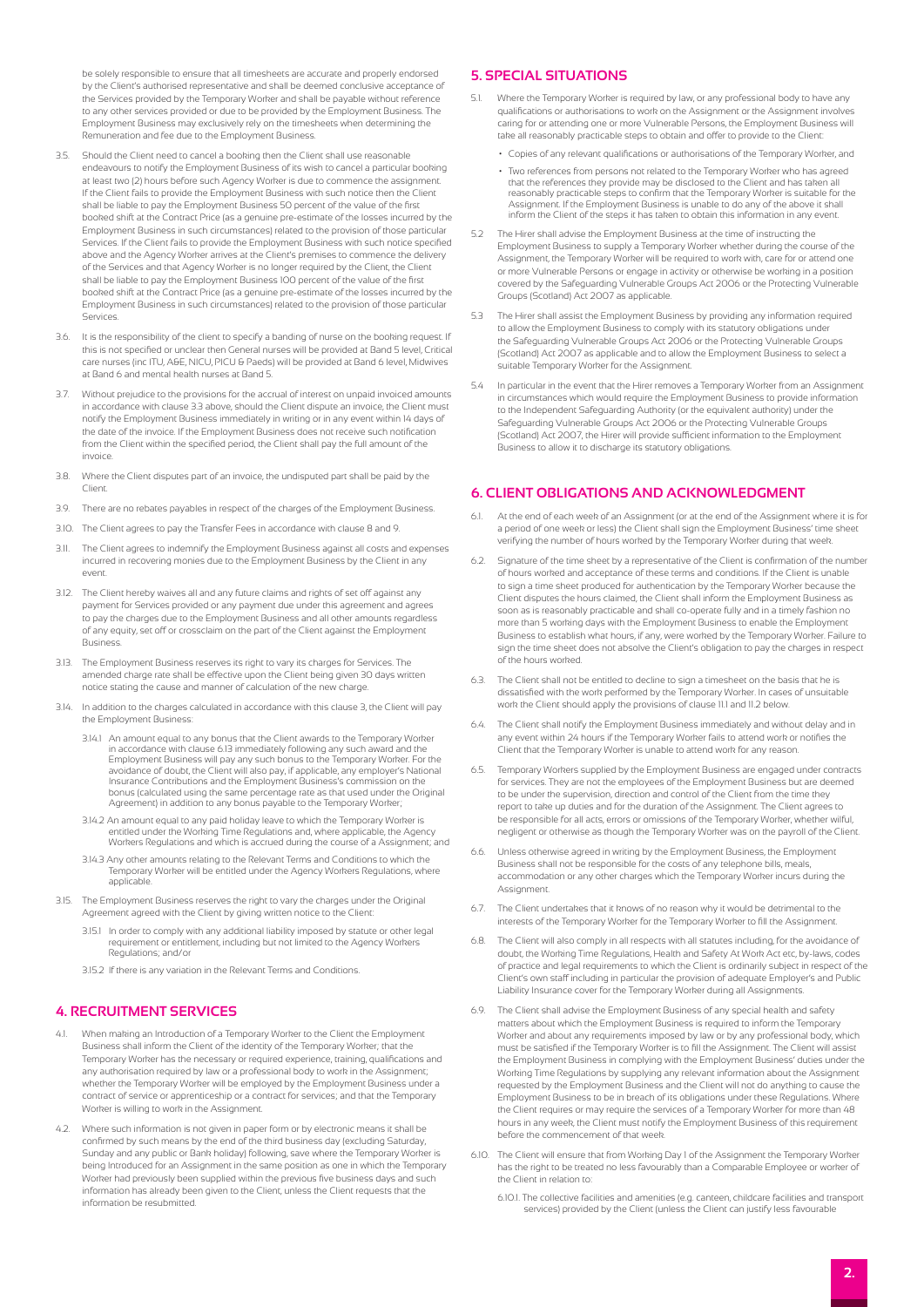be solely responsible to ensure that all timesheets are accurate and properly endorsed by the Client's authorised representative and shall be deemed conclusive acceptance of the Services provided by the Temporary Worker and shall be payable without reference to any other services provided or due to be provided by the Employment Business. The Employment Business may exclusively rely on the timesheets when determining the Remuneration and fee due to the Employment Business.

- 3.5. Should the Client need to cancel a booking then the Client shall use reasonable endeavours to notify the Employment Business of its wish to cancel a particular booking at least two (2) hours before such Agency Worker is due to commence the assignment. If the Client fails to provide the Employment Business with such notice then the Client shall be liable to pay the Employment Business 50 percent of the value of the first booked shift at the Contract Price (as a genuine pre-estimate of the losses incurred by the Employment Business in such circumstances) related to the provision of those particular Services. If the Client fails to provide the Employment Business with such notice specified above and the Agency Worker arrives at the Client's premises to commence the delivery of the Services and that Agency Worker is no longer required by the Client, the Client shall be liable to pay the Employment Business 100 percent of the value of the first booked shift at the Contract Price (as a genuine pre-estimate of the losses incurred by the Employment Business in such circumstances) related to the provision of those particular Services.
- 3.6. It is the responsibility of the client to specify a banding of nurse on the booking request. If this is not specified or unclear then General nurses will be provided at Band 5 level, Critical care nurses (inc ITU, A&E, NICU, PICU & Paeds) will be provided at Band 6 level, Midwives at Band 6 and mental health nurses at Band 5.
- 3.7. Without prejudice to the provisions for the accrual of interest on unpaid invoiced amounts in accordance with clause 3.3 above, should the Client dispute an invoice, the Client must notify the Employment Business immediately in writing or in any event within 14 days of the date of the invoice. If the Employment Business does not receive such notification from the Client within the specified period, the Client shall pay the full amount of the invoice.
- 3.8. Where the Client disputes part of an invoice, the undisputed part shall be paid by the Client.
- 3.9. There are no rebates payables in respect of the charges of the Employment Business.
- 3.10. The Client agrees to pay the Transfer Fees in accordance with clause 8 and 9.
- 3.11. The Client agrees to indemnify the Employment Business against all costs and expenses incurred in recovering monies due to the Employment Business by the Client in any event.
- 3.12. The Client hereby waives all and any future claims and rights of set off against any payment for Services provided or any payment due under this agreement and agrees to pay the charges due to the Employment Business and all other amounts regardless of any equity, set off or crossclaim on the part of the Client against the Employment Business.
- 3.13. The Employment Business reserves its right to vary its charges for Services. The amended charge rate shall be effective upon the Client being given 30 days written notice stating the cause and manner of calculation of the new charge.
- 3.14. In addition to the charges calculated in accordance with this clause 3, the Client will pay the Employment Business:
	- 3.14.1 An amount equal to any bonus that the Client awards to the Temporary Worker in accordance with clause 6.13 immediately following any such award and the Employment Business will pay any such bonus to the Temporary Worker. For the avoidance of doubt, the Client will also pay, if applicable, any employer's National Insurance Contributions and the Employment Business's commission on the bonus (calculated using the same percentage rate as that used under the Original Agreement) in addition to any bonus payable to the Temporary Worker;
	- 3.14.2 An amount equal to any paid holiday leave to which the Temporary Worker is entitled under the Working Time Regulations and, where applicable, the Agency Workers Regulations and which is accrued during the course of a Assignment; and
	- 3.14.3 Any other amounts relating to the Relevant Terms and Conditions to which the Temporary Worker will be entitled under the Agency Workers Regulations, where applicable.
- 3.15. The Employment Business reserves the right to vary the charges under the Original Agreement agreed with the Client by giving written notice to the Client:
	- 3.15.1 In order to comply with any additional liability imposed by statute or other legal requirement or entitlement, including but not limited to the Agency Workers Regulations; and/or
	- 3.15.2 If there is any variation in the Relevant Terms and Conditions.

# **4. RECRUITMENT SERVICES**

- 4.1. When making an Introduction of a Temporary Worker to the Client the Employment Business shall inform the Client of the identity of the Temporary Worker; that the Temporary Worker has the necessary or required experience, training, qualifications and any authorisation required by law or a professional body to work in the Assignment; whether the Temporary Worker will be employed by the Employment Business under a contract of service or apprenticeship or a contract for services; and that the Temporary Worker is willing to work in the Assignment.
- 4.2. Where such information is not given in paper form or by electronic means it shall be confirmed by such means by the end of the third business day (excluding Saturday, Sunday and any public or Bank holiday) following, save where the Temporary Worker is being Introduced for an Assignment in the same position as one in which the Temporary Worker had previously been supplied within the previous five business days and such information has already been given to the Client, unless the Client requests that the information be resubmitted.

### **5. SPECIAL SITUATIONS**

- 5.1. Where the Temporary Worker is required by law, or any professional body to have any qualifications or authorisations to work on the Assignment or the Assignment involves caring for or attending one or more Vulnerable Persons, the Employment Business will take all reasonably practicable steps to obtain and offer to provide to the Client:
	- Copies of any relevant qualifications or authorisations of the Temporary Worker, and
	- Two references from persons not related to the Temporary Worker who has agreed that the references they provide may be disclosed to the Client and has taken a reasonably practicable steps to confirm that the Temporary Worker is suitable for the Assignment. If the Employment Business is unable to do any of the above it shall inform the Client of the steps it has taken to obtain this information in any event.
- 5.2 The Hirer shall advise the Employment Business at the time of instructing the Employment Business to supply a Temporary Worker whether during the course of the Assignment, the Temporary Worker will be required to work with, care for or attend one or more Vulnerable Persons or engage in activity or otherwise be working in a position covered by the Safeguarding Vulnerable Groups Act 2006 or the Protecting Vulnerable Groups (Scotland) Act 2007 as applicable.
- 5.3 The Hirer shall assist the Employment Business by providing any information required to allow the Employment Business to comply with its statutory obligations under the Safeguarding Vulnerable Groups Act 2006 or the Protecting Vulnerable Groups (Scotland) Act 2007 as applicable and to allow the Employment Business to select a .<br>suitable Temporary Worker for the Assignment.
- 5.4 In particular in the event that the Hirer removes a Temporary Worker from an Assignment in circumstances which would require the Employment Business to provide information to the Independent Safeguarding Authority (or the equivalent authority) under the Safeguarding Vulnerable Groups Act 2006 or the Protecting Vulnerable Groups (Scotland) Act 2007, the Hirer will provide sufficient information to the Employment Business to allow it to discharge its statutory obligations.

# **6. CLIENT OBLIGATIONS AND ACKNOWLEDGMENT**

- 6.1. At the end of each week of an Assignment (or at the end of the Assignment where it is for a period of one week or less) the Client shall sign the Employment Business' time sheet verifying the number of hours worked by the Temporary Worker during that week.
- 6.2. Signature of the time sheet by a representative of the Client is confirmation of the number of hours worked and acceptance of these terms and conditions. If the Client is unable to sign a time sheet produced for authentication by the Temporary Worker because the Client disputes the hours claimed, the Client shall inform the Employment Business as soon as is reasonably practicable and shall co-operate fully and in a timely fashion no more than 5 working days with the Employment Business to enable the Employment Business to establish what hours, if any, were worked by the Temporary Worker. Failure to sign the time sheet does not absolve the Client's obligation to pay the charges in respect of the hours worked.
- 6.3. The Client shall not be entitled to decline to sign a timesheet on the basis that he is dissatisfied with the work performed by the Temporary Worker. In cases of unsuitable work the Client should apply the provisions of clause 11.1 and 11.2 below.
- 6.4. The Client shall notify the Employment Business immediately and without delay and in any event within 24 hours if the Temporary Worker fails to attend work or notifies the Client that the Temporary Worker is unable to attend work for any reason.
- 6.5. Temporary Workers supplied by the Employment Business are engaged under contracts for services. They are not the employees of the Employment Business but are deemed to be under the supervision, direction and control of the Client from the time they report to take up duties and for the duration of the Assignment. The Client agrees to be responsible for all acts, errors or omissions of the Temporary Worker, whether wilful, negligent or otherwise as though the Temporary Worker was on the payroll of the Client.
- 6.6. Unless otherwise agreed in writing by the Employment Business, the Employn Business shall not be responsible for the costs of any telephone bills, meals, accommodation or any other charges which the Temporary Worker incurs during the Assignment.
- 6.7. The Client undertakes that it knows of no reason why it would be detrimental to the interests of the Temporary Worker for the Temporary Worker to fill the Assignment.
- 6.8. The Client will also comply in all respects with all statutes including, for the avoidance of doubt, the Working Time Regulations, Health and Safety At Work Act etc, by-laws, codes of practice and legal requirements to which the Client is ordinarily subject in respect of the Client's own staff including in particular the provision of adequate Employer's and Public Liability Insurance cover for the Temporary Worker during all Assignments.
- The Client shall advise the Employment Business of any special health and safety matters about which the Employment Business is required to inform the Temporary Worker and about any requirements imposed by law or by any professional body, which must be satisfied if the Temporary Worker is to fill the Assignment. The Client will assist the Employment Business in complying with the Employment Business' duties under the Working Time Regulations by supplying any relevant information about the Assignment requested by the Employment Business and the Client will not do anything to cause the Employment Business to be in breach of its obligations under these Regulations. Where the Client requires or may require the services of a Temporary Worker for more than 48 hours in any week, the Client must notify the Employment Business of this requirement before the commencement of that week.
- 6.10. The Client will ensure that from Working Day 1 of the Assignment the Temporary Worker has the right to be treated no less favourably than a Comparable Employee or worker of the Client in relation to:
	- 6.10.1. The collective facilities and amenities (e.g. canteen, childcare facilities and transport services) provided by the Client (unless the Client can justify less favourable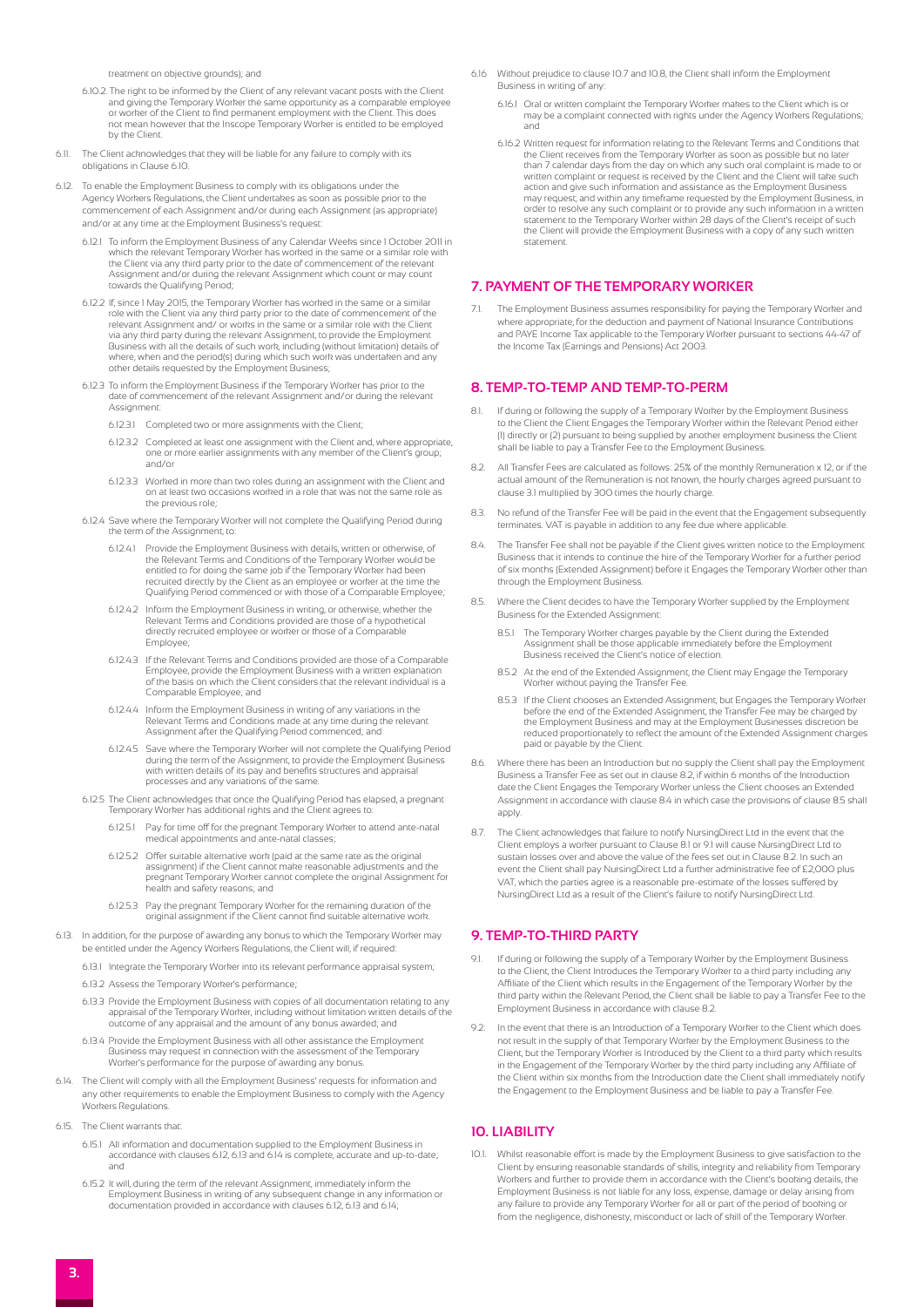treatment on objective grounds); and

- 6.10.2. The right to be informed by the Client of any relevant vacant posts with the Client and giving the Temporary Worker the same opportunity as a comparable employee or worker of the Client to find permanent employment with the Client. This does not mean however that the Inscope Temporary Worker is entitled to be employed by the Client.
- 6.11. The Client acknowledges that they will be liable for any failure to comply with its obligations in Clause 6.10.
- 6.12. To enable the Employment Business to comply with its obligations under the Agency Workers Regulations, the Client undertakes as soon as possible prior to the commencement of each Assignment and/or during each Assignment (as appropriate) and/or at any time at the Employment Business's request:
	- 6.12.1 To inform the Employment Business of any Calendar Weeks since 1 October 2011 in which the relevant Temporary Worker has worked in the same or a similar role with the Client via any third party prior to the date of commencement of the relevant Assignment and/or during the relevant Assignment which count or may count towards the Qualifying Period;
	- 6.12.2 If, since 1 May 2015, the Temporary Worker has worked in the same or a similar role with the Client via any third party prior to the date of commencement of the relevant Assignment and/ or works in the same or a similar role with the Client via any third party during the relevant Assignment, to provide the Employment Business with all the details of such work, including (without limitation) details of where, when and the period(s) during which such work was undertaken and any other details requested by the Employment Business;
	- 6.12.3 To inform the Employment Business if the Temporary Worker has prior to the date of commencement of the relevant Assignment and/or during the relevant Assignment
		- 6.12.3.1 Completed two or more assignments with the Client;
		- 6.12.3.2 Completed at least one assignment with the Client and, where appropriate, one or more earlier assignments with any member of the Client's group; and/or
		- 6.12.3.3 Worked in more than two roles during an assignment with the Client and on at least two occasions worked in a role that was not the same role as the previous role;
	- 6.12.4 Save where the Temporary Worker will not complete the Qualifying Period during the term of the Assignment, to:
		- 6.12.4.1 Provide the Employment Business with details, written or otherwise, of the Relevant Terms and Conditions of the Temporary Worker would be entitled to for doing the same job if the Temporary Worker had been recruited directly by the Client as an employee or worker at the time the Qualifying Period commenced or with those of a Comparable Employee;
		- 6.12.4.2 Inform the Employment Business in writing, or otherwise, whether the Relevant Terms and Conditions provided are those of a hypothetical directly recruited employee or worker or those of a Comparable Employee;
		- 6.12.4.3 If the Relevant Terms and Conditions provided are those of a Comparable Employee, provide the Employment Business with a written explanation of the basis on which the Client considers that the relevant individual is a Comparable Employee; and
		- 6.12.4.4 Inform the Employment Business in writing of any variations in the Relevant Terms and Conditions made at any time during the relevant Assignment after the Qualifying Period commenced; and
		- 6.12.4.5 Save where the Temporary Worker will not complete the Qualifying Period during the term of the Assignment, to provide the Employment Business with written details of its pay and benefits structures and appraisal processes and any variations of the same.
	- 6.12.5 The Client acknowledges that once the Qualifying Period has elapsed, a pregnant Temporary Worker has additional rights and the Client agrees to:
		- 6.12.5.1 Pay for time off for the pregnant Temporary Worker to attend ante-natal medical appointments and ante-natal classes;
		- 6.12.5.2 Offer suitable alternative work (paid at the same rate as the original assignment) if the Client cannot make reasonable adjustments and the pregnant Temporary Worker cannot complete the original Assignment for health and safety reasons; and
		- 6.12.5.3 Pay the pregnant Temporary Worker for the remaining duration of the original assignment if the Client cannot find suitable alternative work.
- 6.13. In addition, for the purpose of awarding any bonus to which the Temporary Worker may be entitled under the Agency Workers Regulations, the Client will, if required:
	- 6.13.1 Integrate the Temporary Worker into its relevant performance appraisal system;
	- 6.13.2 Assess the Temporary Worker's performance;
	- 6.13.3 Provide the Employment Business with copies of all documentation relating to any appraisal of the Temporary Worker, including without limitation written details of the outcome of any appraisal and the amount of any bonus awarded; and
	- 6.13.4 Provide the Employment Business with all other assistance the Employment Business may request in connection with the assessment of the Temporary Worker's performance for the purpose of awarding any bonus.
- 6.14. The Client will comply with all the Employment Business' requests for information and any other requirements to enable the Employment Business to comply with the Agency Workers Regulations
- 6.15. The Client warrants that:
	- 6.15.1 All information and documentation supplied to the Employment Business in accordance with clauses 6.12, 6.13 and 6.14 is complete, accurate and up-to-date; and
	- 6.15.2 It will, during the term of the relevant Assignment, immediately inform the Employment Business in writing of any subsequent change in any information or documentation provided in accordance with clauses 6.12, 6.13 and 6.14;
- 6.16 Without prejudice to clause 10.7 and 10.8, the Client shall inform the Employment Business in writing of any:
	- 6.16.1 Oral or written complaint the Temporary Worker makes to the Client which is or may be a complaint connected with rights under the Agency Workers Regulations; and
	- 6.16.2 Written request for information relating to the Relevant Terms and Conditions that the Client receives from the Temporary Worker as soon as possible but no later than 7 calendar days from the day on which any such oral complaint is made to or written complaint or request is received by the Client and the Client will take such action and give such information and assistance as the Employment Business may request, and within any timeframe requested by the Employment Business, in order to resolve any such complaint or to provide any such information in a written<br>statement to the Temporary Worker within 28 days of the Client's receipt of such<br>the Client will provide the Employment Business with a co statement.

#### **7. PAYMENT OF THE TEMPORARY WORKER**

The Employment Business assumes responsibility for paying the Temporary Worker and where appropriate, for the deduction and payment of National Insurance Contributions and PAYE Income Tax applicable to the Temporary Worker pursuant to sections 44-47 of the Income Tax (Earnings and Pensions) Act 2003.

#### **8. TEMP-TO-TEMP AND TEMP-TO-PERM**

- 8.1. If during or following the supply of a Temporary Worker by the Employment Business to the Client the Client Engages the Temporary Worker within the Relevant Period either (1) directly or (2) pursuant to being supplied by another employment business the Client shall be liable to pay a Transfer Fee to the Employment Business.
- 8.2. All Transfer Fees are calculated as follows: 25% of the monthly Remuneration x 12, or if the actual amount of the Remuneration is not known, the hourly charges agreed pursuant to clause 3.1 multiplied by 300 times the hourly charge.
- 8.3. No refund of the Transfer Fee will be paid in the event that the Engagement subsequently terminates. VAT is payable in addition to any fee due where applicable.
- The Transfer Fee shall not be payable if the Client gives written notice to the Employment Business that it intends to continue the hire of the Temporary Worker for a further period of six months (Extended Assignment) before it Engages the Temporary Worker other than through the Employment Business.
- 8.5. Where the Client decides to have the Temporary Worker supplied by the Employment Business for the Extended Assignment:
	- 8.5.1 The Temporary Worker charges payable by the Client during the Extended Assignment shall be those applicable immediately before the Employment Business received the Client's notice of election.
	- 8.5.2 At the end of the Extended Assignment, the Client may Engage the Temporary Worker without paying the Transfer Fee.
	- 8.5.3 If the Client chooses an Extended Assignment, but Engages the Temporary Worker before the end of the Extended Assignment, the Transfer Fee may be charged by the Employment Business and may at the Employment Businesses discretion be reduced proportionately to reflect the amount of the Extended Assignment charges paid or payable by the Client.
- 8.6. Where there has been an Introduction but no supply the Client shall pay the Employment Business a Transfer Fee as set out in clause 8.2, if within 6 months of the Introduction date the Client Engages the Temporary Worker unless the Client chooses an Extended Assignment in accordance with clause 8.4 in which case the provisions of clause 8.5 shall apply.
- 8.7. The Client acknowledges that failure to notify NursingDirect Ltd in the event that the Client employs a worker pursuant to Clause 8.1 or 9.1 will cause NursingDirect Ltd to sustain losses over and above the value of the fees set out in Clause 8.2. In such an event the Client shall pay NursingDirect Ltd a further administrative fee of £2,000 plus VAT, which the parties agree is a reasonable pre-estimate of the losses suffered by NursingDirect Ltd as a result of the Client's failure to notify NursingDirect Ltd.

# **9. TEMP-TO-THIRD PARTY**

- 9.1. If during or following the supply of a Temporary Worker by the Employment Business to the Client, the Client Introduces the Temporary Worker to a third party including any Affiliate of the Client which results in the Engagement of the Temporary Worker by the third party within the Relevant Period, the Client shall be liable to pay a Transfer Fee to the Employment Business in accordance with clause 8.2.
- 9.2. In the event that there is an Introduction of a Temporary Worker to the Client which does not result in the supply of that Temporary Worker by the Employment Business to the Client, but the Temporary Worker is Introduced by the Client to a third party which results in the Engagement of the Temporary Worker by the third party including any Affiliate of the Client within six months from the Introduction date the Client shall immediately notify the Engagement to the Employment Business and be liable to pay a Transfer Fee.

# **10. LIABILITY**

10.1. Whilst reasonable effort is made by the Employment Business to give satisfaction to the Client by ensuring reasonable standards of skills, integrity and reliability from Temporary Workers and further to provide them in accordance with the Client's booking details, the Employment Business is not liable for any loss, expense, damage or delay arising from any failure to provide any Temporary Worker for all or part of the period of booking or from the negligence, dishonesty, misconduct or lack of skill of the Temporary Worker.